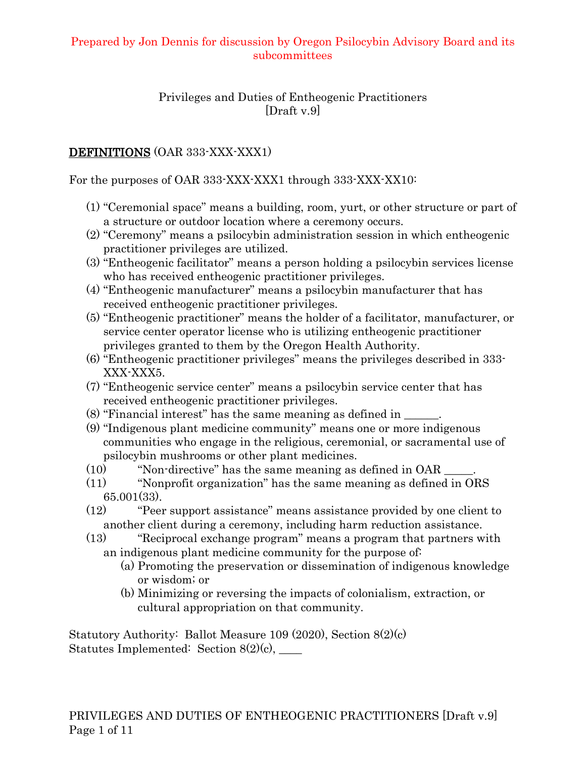#### Privileges and Duties of Entheogenic Practitioners [Draft v.9]

### DEFINITIONS (OAR 333-XXX-XXX1)

For the purposes of OAR 333-XXX-XXX1 through 333-XXX-XX10:

- (1) "Ceremonial space" means a building, room, yurt, or other structure or part of a structure or outdoor location where a ceremony occurs.
- (2) "Ceremony" means a psilocybin administration session in which entheogenic practitioner privileges are utilized.
- (3) "Entheogenic facilitator" means a person holding a psilocybin services license who has received entheogenic practitioner privileges.
- (4) "Entheogenic manufacturer" means a psilocybin manufacturer that has received entheogenic practitioner privileges.
- (5) "Entheogenic practitioner" means the holder of a facilitator, manufacturer, or service center operator license who is utilizing entheogenic practitioner privileges granted to them by the Oregon Health Authority.
- (6) "Entheogenic practitioner privileges" means the privileges described in 333- XXX-XXX5.
- (7) "Entheogenic service center" means a psilocybin service center that has received entheogenic practitioner privileges.
- (8) "Financial interest" has the same meaning as defined in \_\_\_\_\_\_.
- (9) "Indigenous plant medicine community" means one or more indigenous communities who engage in the religious, ceremonial, or sacramental use of psilocybin mushrooms or other plant medicines.
- $(10)$  "Non-directive" has the same meaning as defined in OAR  $\qquad \quad$ .
- (11) "Nonprofit organization" has the same meaning as defined in ORS 65.001(33).
- (12) "Peer support assistance" means assistance provided by one client to another client during a ceremony, including harm reduction assistance.
- (13) "Reciprocal exchange program" means a program that partners with an indigenous plant medicine community for the purpose of:
	- (a) Promoting the preservation or dissemination of indigenous knowledge or wisdom; or
	- (b) Minimizing or reversing the impacts of colonialism, extraction, or cultural appropriation on that community.

Statutory Authority: Ballot Measure 109 (2020), Section 8(2)(c) Statutes Implemented: Section  $8(2)(c)$ , \_\_\_\_\_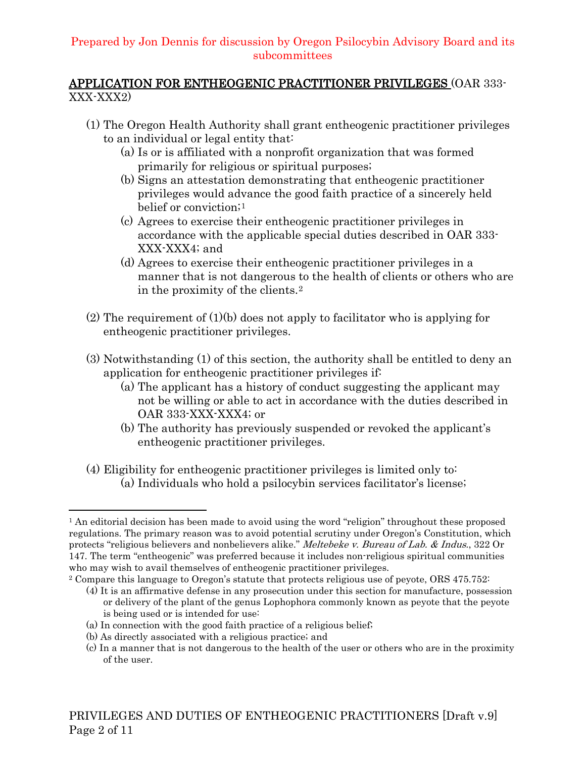#### APPLICATION FOR ENTHEOGENIC PRACTITIONER PRIVILEGES (OAR 333-  $XXX-XXX2$

- (1) The Oregon Health Authority shall grant entheogenic practitioner privileges to an individual or legal entity that:
	- (a) Is or is affiliated with a nonprofit organization that was formed primarily for religious or spiritual purposes;
	- (b) Signs an attestation demonstrating that entheogenic practitioner privileges would advance the good faith practice of a sincerely held belief or conviction;[1](#page-1-0)
	- (c) Agrees to exercise their entheogenic practitioner privileges in accordance with the applicable special duties described in OAR 333- XXX-XXX4; and
	- (d) Agrees to exercise their entheogenic practitioner privileges in a manner that is not dangerous to the health of clients or others who are in the proximity of the clients.[2](#page-1-1)
- (2) The requirement of (1)(b) does not apply to facilitator who is applying for entheogenic practitioner privileges.
- (3) Notwithstanding (1) of this section, the authority shall be entitled to deny an application for entheogenic practitioner privileges if:
	- (a) The applicant has a history of conduct suggesting the applicant may not be willing or able to act in accordance with the duties described in OAR 333-XXX-XXX4; or
	- (b) The authority has previously suspended or revoked the applicant's entheogenic practitioner privileges.
- (4) Eligibility for entheogenic practitioner privileges is limited only to: (a) Individuals who hold a psilocybin services facilitator's license;

<span id="page-1-0"></span><sup>&</sup>lt;sup>1</sup> An editorial decision has been made to avoid using the word "religion" throughout these proposed regulations. The primary reason was to avoid potential scrutiny under Oregon's Constitution, which protects "religious believers and nonbelievers alike." Meltebeke v. Bureau of Lab. & Indus., 322 Or 147. The term "entheogenic" was preferred because it includes non-religious spiritual communities who may wish to avail themselves of entheogenic practitioner privileges.<br><sup>2</sup> Compare this language to Oregon's statute that protects religious use of peyote, ORS 475.752:

<span id="page-1-1"></span>

<sup>(4)</sup> It is an affirmative defense in any prosecution under this section for manufacture, possession or delivery of the plant of the genus Lophophora commonly known as peyote that the peyote is being used or is intended for use:

<sup>(</sup>a) In connection with the good faith practice of a religious belief;

<sup>(</sup>b) As directly associated with a religious practice; and

<sup>(</sup>c) In a manner that is not dangerous to the health of the user or others who are in the proximity of the user.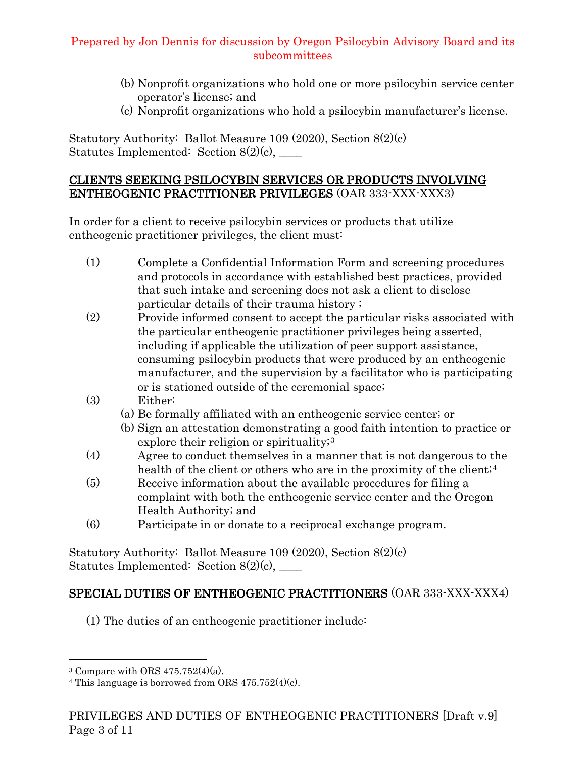- (b) Nonprofit organizations who hold one or more psilocybin service center operator's license; and
- (c) Nonprofit organizations who hold a psilocybin manufacturer's license.

Statutory Authority: Ballot Measure 109 (2020), Section 8(2)(c) Statutes Implemented: Section 8(2)(c), \_\_\_\_

### CLIENTS SEEKING PSILOCYBIN SERVICES OR PRODUCTS INVOLVING ENTHEOGENIC PRACTITIONER PRIVILEGES (OAR 333-XXX-XXX3)

In order for a client to receive psilocybin services or products that utilize entheogenic practitioner privileges, the client must:

- (1) Complete a Confidential Information Form and screening procedures and protocols in accordance with established best practices, provided that such intake and screening does not ask a client to disclose particular details of their trauma history ;
- (2) Provide informed consent to accept the particular risks associated with the particular entheogenic practitioner privileges being asserted, including if applicable the utilization of peer support assistance, consuming psilocybin products that were produced by an entheogenic manufacturer, and the supervision by a facilitator who is participating or is stationed outside of the ceremonial space;
- (3) Either:
	- (a) Be formally affiliated with an entheogenic service center; or
	- (b) Sign an attestation demonstrating a good faith intention to practice or explore their religion or spirituality;<sup>[3](#page-2-0)</sup>
- (4) Agree to conduct themselves in a manner that is not dangerous to the health of the client or others who are in the proximity of the client;<sup>[4](#page-2-1)</sup>
- (5) Receive information about the available procedures for filing a complaint with both the entheogenic service center and the Oregon Health Authority; and
- (6) Participate in or donate to a reciprocal exchange program.

Statutory Authority: Ballot Measure 109 (2020), Section 8(2)(c) Statutes Implemented: Section  $8(2)(c)$ , \_\_\_\_\_

# SPECIAL DUTIES OF ENTHEOGENIC PRACTITIONERS (OAR 333-XXX-XXX4)

(1) The duties of an entheogenic practitioner include:

<span id="page-2-0"></span><sup>&</sup>lt;sup>3</sup> Compare with ORS  $475.752(4)(a)$ .

<span id="page-2-1"></span> $4$  This language is borrowed from ORS  $475.752(4)(c)$ .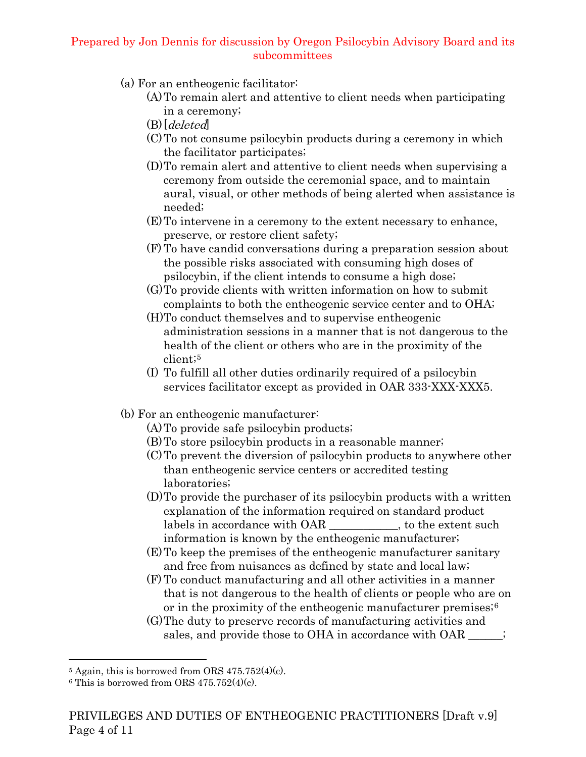- (a) For an entheogenic facilitator:
	- (A)To remain alert and attentive to client needs when participating in a ceremony;
	- $(B)$ [deleted]
	- (C)To not consume psilocybin products during a ceremony in which the facilitator participates;
	- (D)To remain alert and attentive to client needs when supervising a ceremony from outside the ceremonial space, and to maintain aural, visual, or other methods of being alerted when assistance is needed;
	- (E)To intervene in a ceremony to the extent necessary to enhance, preserve, or restore client safety;
	- (F) To have candid conversations during a preparation session about the possible risks associated with consuming high doses of psilocybin, if the client intends to consume a high dose;
	- (G)To provide clients with written information on how to submit complaints to both the entheogenic service center and to OHA;
	- (H)To conduct themselves and to supervise entheogenic administration sessions in a manner that is not dangerous to the health of the client or others who are in the proximity of the client;[5](#page-3-0)
	- (I) To fulfill all other duties ordinarily required of a psilocybin services facilitator except as provided in OAR 333-XXX-XXX5.
- (b) For an entheogenic manufacturer:
	- (A)To provide safe psilocybin products;
	- (B)To store psilocybin products in a reasonable manner;
	- (C)To prevent the diversion of psilocybin products to anywhere other than entheogenic service centers or accredited testing laboratories;
	- (D)To provide the purchaser of its psilocybin products with a written explanation of the information required on standard product labels in accordance with OAR \_\_\_\_\_\_\_\_\_\_, to the extent such information is known by the entheogenic manufacturer;
	- (E)To keep the premises of the entheogenic manufacturer sanitary and free from nuisances as defined by state and local law;
	- (F) To conduct manufacturing and all other activities in a manner that is not dangerous to the health of clients or people who are on or in the proximity of the entheogenic manufacturer premises;[6](#page-3-1)
	- (G)The duty to preserve records of manufacturing activities and sales, and provide those to OHA in accordance with OAR \_\_\_\_\_;

<span id="page-3-0"></span> $5$  Again, this is borrowed from ORS  $475.752(4)(c)$ .

<span id="page-3-1"></span> $6$  This is borrowed from ORS 475.752(4)(c).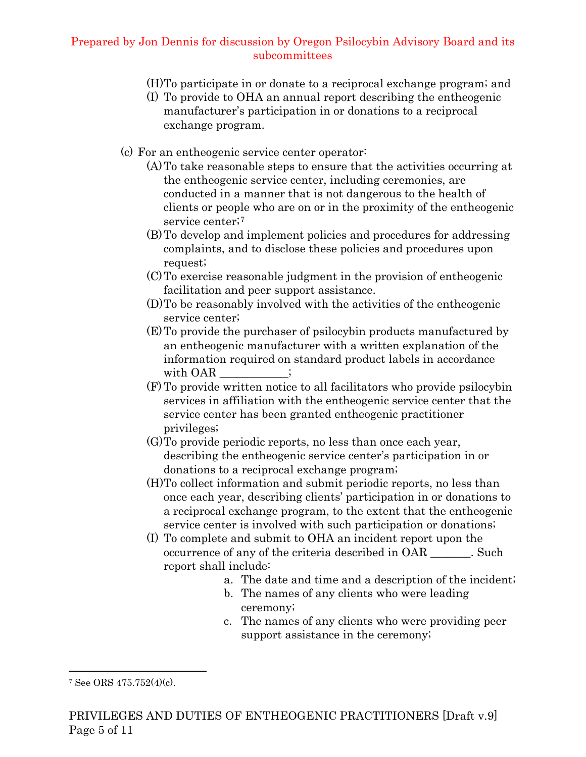- (H)To participate in or donate to a reciprocal exchange program; and
- (I) To provide to OHA an annual report describing the entheogenic manufacturer's participation in or donations to a reciprocal exchange program.
- (c) For an entheogenic service center operator:
	- (A)To take reasonable steps to ensure that the activities occurring at the entheogenic service center, including ceremonies, are conducted in a manner that is not dangerous to the health of clients or people who are on or in the proximity of the entheogenic service center;<sup>[7](#page-4-0)</sup>
	- (B)To develop and implement policies and procedures for addressing complaints, and to disclose these policies and procedures upon request;
	- (C)To exercise reasonable judgment in the provision of entheogenic facilitation and peer support assistance.
	- (D)To be reasonably involved with the activities of the entheogenic service center;
	- (E)To provide the purchaser of psilocybin products manufactured by an entheogenic manufacturer with a written explanation of the information required on standard product labels in accordance with OAR  $\qquad \qquad ;$
	- (F) To provide written notice to all facilitators who provide psilocybin services in affiliation with the entheogenic service center that the service center has been granted entheogenic practitioner privileges;
	- (G)To provide periodic reports, no less than once each year, describing the entheogenic service center's participation in or donations to a reciprocal exchange program;
	- (H)To collect information and submit periodic reports, no less than once each year, describing clients' participation in or donations to a reciprocal exchange program, to the extent that the entheogenic service center is involved with such participation or donations;
	- (I) To complete and submit to OHA an incident report upon the occurrence of any of the criteria described in OAR Such report shall include:
		- a. The date and time and a description of the incident;
		- b. The names of any clients who were leading ceremony;
		- c. The names of any clients who were providing peer support assistance in the ceremony;

<span id="page-4-0"></span><sup>7</sup> See ORS 475.752(4)(c).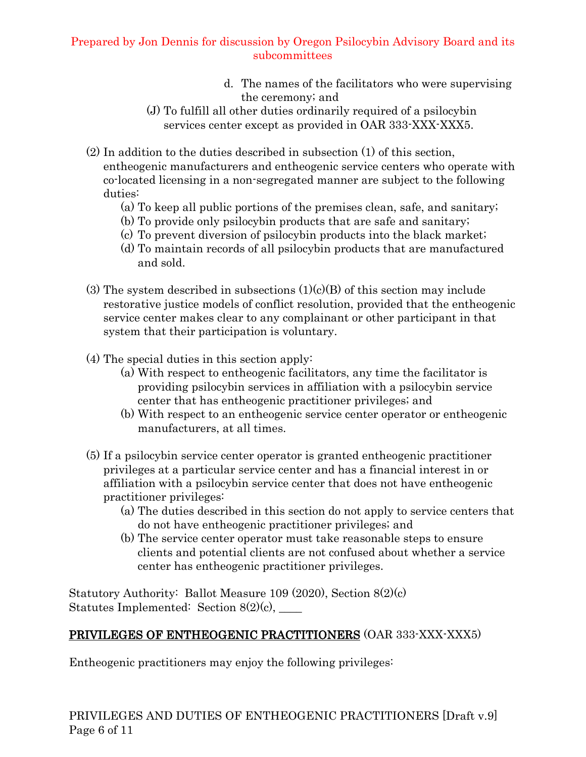- d. The names of the facilitators who were supervising the ceremony; and
- (J) To fulfill all other duties ordinarily required of a psilocybin services center except as provided in OAR 333-XXX-XXX5.
- (2) In addition to the duties described in subsection (1) of this section, entheogenic manufacturers and entheogenic service centers who operate with co-located licensing in a non-segregated manner are subject to the following duties:
	- (a) To keep all public portions of the premises clean, safe, and sanitary;
	- (b) To provide only psilocybin products that are safe and sanitary;
	- (c) To prevent diversion of psilocybin products into the black market;
	- (d) To maintain records of all psilocybin products that are manufactured and sold.
- (3) The system described in subsections  $(1)(c)(B)$  of this section may include restorative justice models of conflict resolution, provided that the entheogenic service center makes clear to any complainant or other participant in that system that their participation is voluntary.
- (4) The special duties in this section apply:
	- (a) With respect to entheogenic facilitators, any time the facilitator is providing psilocybin services in affiliation with a psilocybin service center that has entheogenic practitioner privileges; and
	- (b) With respect to an entheogenic service center operator or entheogenic manufacturers, at all times.
- (5) If a psilocybin service center operator is granted entheogenic practitioner privileges at a particular service center and has a financial interest in or affiliation with a psilocybin service center that does not have entheogenic practitioner privileges:
	- (a) The duties described in this section do not apply to service centers that do not have entheogenic practitioner privileges; and
	- (b) The service center operator must take reasonable steps to ensure clients and potential clients are not confused about whether a service center has entheogenic practitioner privileges.

Statutory Authority: Ballot Measure 109 (2020), Section 8(2)(c) Statutes Implemented: Section  $8(2)(c)$ ,

## PRIVILEGES OF ENTHEOGENIC PRACTITIONERS (OAR 333-XXX-XXX5)

Entheogenic practitioners may enjoy the following privileges: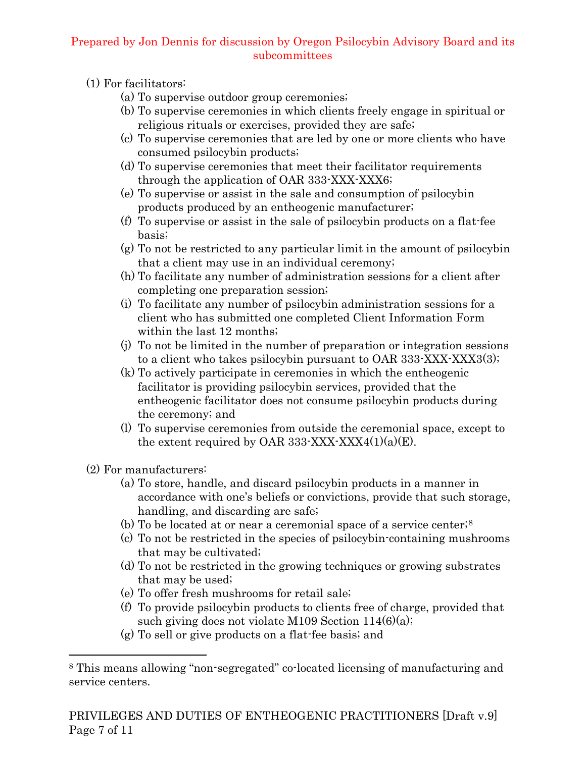- (1) For facilitators:
	- (a) To supervise outdoor group ceremonies;
	- (b) To supervise ceremonies in which clients freely engage in spiritual or religious rituals or exercises, provided they are safe;
	- (c) To supervise ceremonies that are led by one or more clients who have consumed psilocybin products;
	- (d) To supervise ceremonies that meet their facilitator requirements through the application of OAR 333-XXX-XXX6;
	- (e) To supervise or assist in the sale and consumption of psilocybin products produced by an entheogenic manufacturer;
	- (f) To supervise or assist in the sale of psilocybin products on a flat-fee basis;
	- (g) To not be restricted to any particular limit in the amount of psilocybin that a client may use in an individual ceremony;
	- (h) To facilitate any number of administration sessions for a client after completing one preparation session;
	- (i) To facilitate any number of psilocybin administration sessions for a client who has submitted one completed Client Information Form within the last 12 months;
	- (j) To not be limited in the number of preparation or integration sessions to a client who takes psilocybin pursuant to OAR 333-XXX-XXX3(3);
	- (k) To actively participate in ceremonies in which the entheogenic facilitator is providing psilocybin services, provided that the entheogenic facilitator does not consume psilocybin products during the ceremony; and
	- (l) To supervise ceremonies from outside the ceremonial space, except to the extent required by OAR 333-XXX-XXX4 $(1)(a)(E)$ .

(2) For manufacturers:

- (a) To store, handle, and discard psilocybin products in a manner in accordance with one's beliefs or convictions, provide that such storage, handling, and discarding are safe;
- (b) To be located at or near a ceremonial space of a service center;[8](#page-6-0)
- (c) To not be restricted in the species of psilocybin-containing mushrooms that may be cultivated;
- (d) To not be restricted in the growing techniques or growing substrates that may be used;
- (e) To offer fresh mushrooms for retail sale;
- (f) To provide psilocybin products to clients free of charge, provided that such giving does not violate M109 Section 114(6)(a);
- (g) To sell or give products on a flat-fee basis; and

<span id="page-6-0"></span><sup>8</sup> This means allowing "non-segregated" co-located licensing of manufacturing and service centers.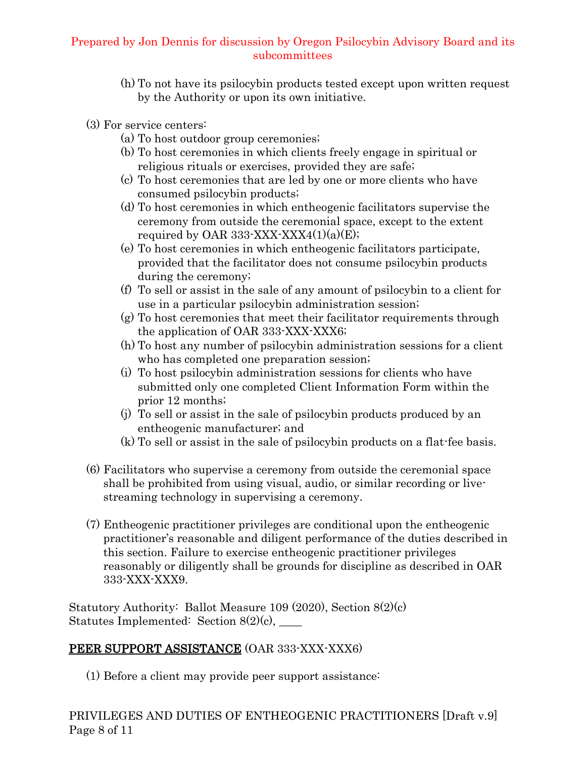- (h) To not have its psilocybin products tested except upon written request by the Authority or upon its own initiative.
- (3) For service centers:
	- (a) To host outdoor group ceremonies;
	- (b) To host ceremonies in which clients freely engage in spiritual or religious rituals or exercises, provided they are safe;
	- (c) To host ceremonies that are led by one or more clients who have consumed psilocybin products;
	- (d) To host ceremonies in which entheogenic facilitators supervise the ceremony from outside the ceremonial space, except to the extent required by OAR 333-XXX-XXX4 $(1)(a)(E)$ ;
	- (e) To host ceremonies in which entheogenic facilitators participate, provided that the facilitator does not consume psilocybin products during the ceremony;
	- (f) To sell or assist in the sale of any amount of psilocybin to a client for use in a particular psilocybin administration session;
	- (g) To host ceremonies that meet their facilitator requirements through the application of OAR 333-XXX-XXX6;
	- (h) To host any number of psilocybin administration sessions for a client who has completed one preparation session;
	- (i) To host psilocybin administration sessions for clients who have submitted only one completed Client Information Form within the prior 12 months;
	- (j) To sell or assist in the sale of psilocybin products produced by an entheogenic manufacturer; and
	- (k) To sell or assist in the sale of psilocybin products on a flat-fee basis.
- (6) Facilitators who supervise a ceremony from outside the ceremonial space shall be prohibited from using visual, audio, or similar recording or livestreaming technology in supervising a ceremony.
- (7) Entheogenic practitioner privileges are conditional upon the entheogenic practitioner's reasonable and diligent performance of the duties described in this section. Failure to exercise entheogenic practitioner privileges reasonably or diligently shall be grounds for discipline as described in OAR 333-XXX-XXX9.

Statutory Authority: Ballot Measure 109 (2020), Section 8(2)(c) Statutes Implemented: Section  $8(2)(c)$ , \_\_\_\_\_

# PEER SUPPORT ASSISTANCE (OAR 333-XXX-XXX6)

(1) Before a client may provide peer support assistance: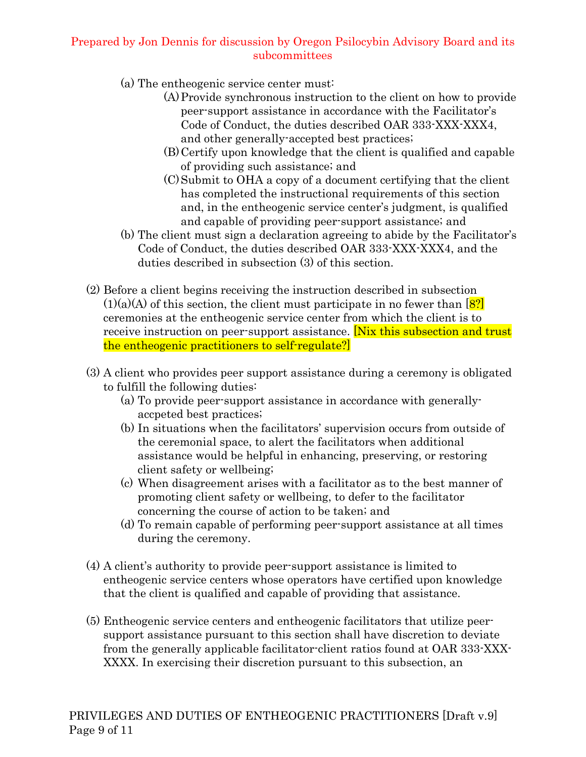- (a) The entheogenic service center must:
	- (A)Provide synchronous instruction to the client on how to provide peer-support assistance in accordance with the Facilitator's Code of Conduct, the duties described OAR 333-XXX-XXX4, and other generally-accepted best practices;
	- (B)Certify upon knowledge that the client is qualified and capable of providing such assistance; and
	- (C)Submit to OHA a copy of a document certifying that the client has completed the instructional requirements of this section and, in the entheogenic service center's judgment, is qualified and capable of providing peer-support assistance; and
- (b) The client must sign a declaration agreeing to abide by the Facilitator's Code of Conduct, the duties described OAR 333-XXX-XXX4, and the duties described in subsection (3) of this section.
- (2) Before a client begins receiving the instruction described in subsection  $(1)(a)(A)$  of this section, the client must participate in no fewer than  $[8]$ ceremonies at the entheogenic service center from which the client is to receive instruction on peer-support assistance. **Nix this subsection and trust** the entheogenic practitioners to self-regulate?]
- (3) A client who provides peer support assistance during a ceremony is obligated to fulfill the following duties:
	- (a) To provide peer-support assistance in accordance with generallyaccpeted best practices;
	- (b) In situations when the facilitators' supervision occurs from outside of the ceremonial space, to alert the facilitators when additional assistance would be helpful in enhancing, preserving, or restoring client safety or wellbeing;
	- (c) When disagreement arises with a facilitator as to the best manner of promoting client safety or wellbeing, to defer to the facilitator concerning the course of action to be taken; and
	- (d) To remain capable of performing peer-support assistance at all times during the ceremony.
- (4) A client's authority to provide peer-support assistance is limited to entheogenic service centers whose operators have certified upon knowledge that the client is qualified and capable of providing that assistance.
- (5) Entheogenic service centers and entheogenic facilitators that utilize peersupport assistance pursuant to this section shall have discretion to deviate from the generally applicable facilitator-client ratios found at OAR 333-XXX-XXXX. In exercising their discretion pursuant to this subsection, an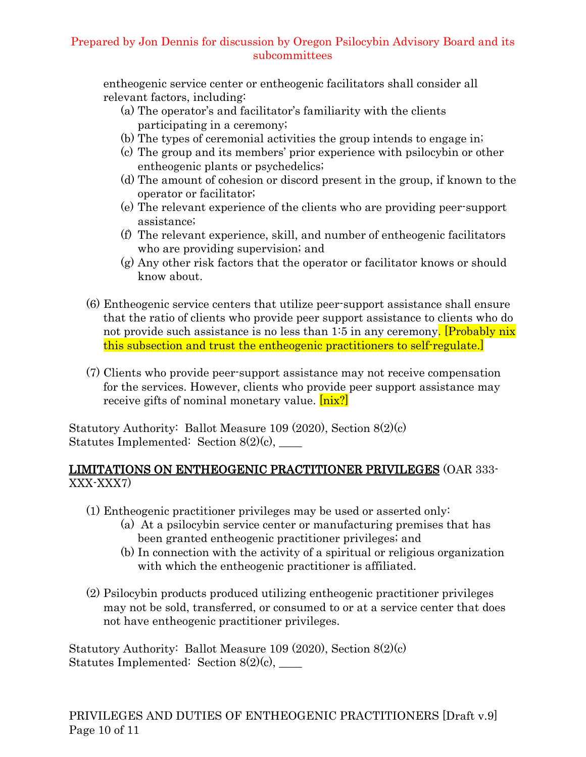entheogenic service center or entheogenic facilitators shall consider all relevant factors, including:

- (a) The operator's and facilitator's familiarity with the clients participating in a ceremony;
- (b) The types of ceremonial activities the group intends to engage in;
- (c) The group and its members' prior experience with psilocybin or other entheogenic plants or psychedelics;
- (d) The amount of cohesion or discord present in the group, if known to the operator or facilitator;
- (e) The relevant experience of the clients who are providing peer-support assistance;
- (f) The relevant experience, skill, and number of entheogenic facilitators who are providing supervision; and
- (g) Any other risk factors that the operator or facilitator knows or should know about.
- (6) Entheogenic service centers that utilize peer-support assistance shall ensure that the ratio of clients who provide peer support assistance to clients who do not provide such assistance is no less than  $1:5$  in any ceremony. **Probably nix** this subsection and trust the entheogenic practitioners to self-regulate.]
- (7) Clients who provide peer-support assistance may not receive compensation for the services. However, clients who provide peer support assistance may receive gifts of nominal monetary value. [nix?]

Statutory Authority: Ballot Measure 109 (2020), Section 8(2)(c) Statutes Implemented: Section  $8(2)(c)$ ,

### LIMITATIONS ON ENTHEOGENIC PRACTITIONER PRIVILEGES (OAR 333- XXX-XXX7)

- (1) Entheogenic practitioner privileges may be used or asserted only:
	- (a) At a psilocybin service center or manufacturing premises that has been granted entheogenic practitioner privileges; and
	- (b) In connection with the activity of a spiritual or religious organization with which the entheogenic practitioner is affiliated.
- (2) Psilocybin products produced utilizing entheogenic practitioner privileges may not be sold, transferred, or consumed to or at a service center that does not have entheogenic practitioner privileges.

Statutory Authority: Ballot Measure 109 (2020), Section 8(2)(c) Statutes Implemented: Section  $8(2)(c)$ ,